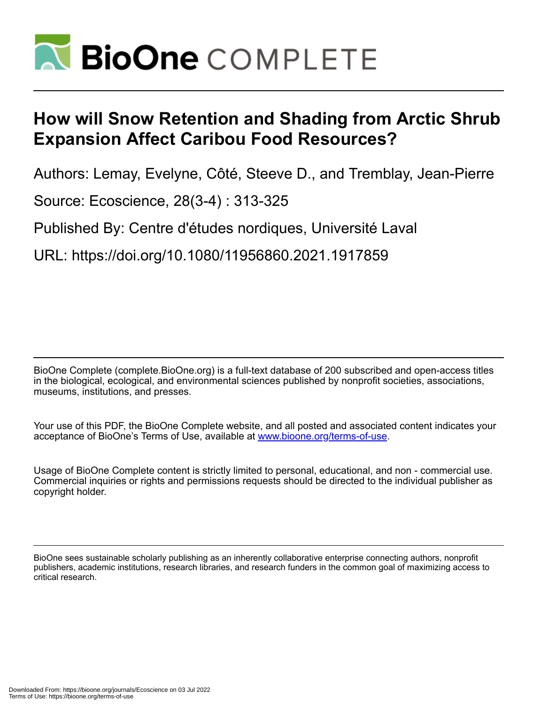

# **How will Snow Retention and Shading from Arctic Shrub Expansion Affect Caribou Food Resources?**

Authors: Lemay, Evelyne, Côté, Steeve D., and Tremblay, Jean-Pierre

Source: Ecoscience, 28(3-4) : 313-325

Published By: Centre d'études nordiques, Université Laval

URL: https://doi.org/10.1080/11956860.2021.1917859

BioOne Complete (complete.BioOne.org) is a full-text database of 200 subscribed and open-access titles in the biological, ecological, and environmental sciences published by nonprofit societies, associations, museums, institutions, and presses.

Your use of this PDF, the BioOne Complete website, and all posted and associated content indicates your acceptance of BioOne's Terms of Use, available at www.bioone.org/terms-of-use.

Usage of BioOne Complete content is strictly limited to personal, educational, and non - commercial use. Commercial inquiries or rights and permissions requests should be directed to the individual publisher as copyright holder.

BioOne sees sustainable scholarly publishing as an inherently collaborative enterprise connecting authors, nonprofit publishers, academic institutions, research libraries, and research funders in the common goal of maximizing access to critical research.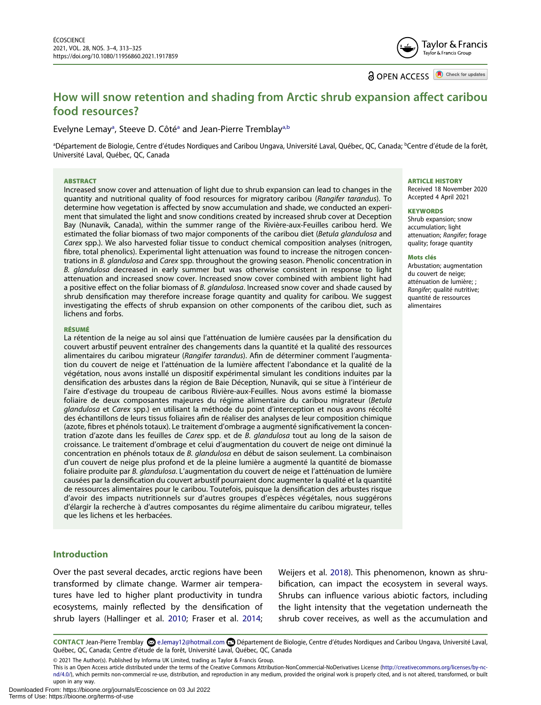Tavlor & Francis Taylor & Francis Group

**a** OPEN ACCESS **D** Check for updates

# **How will snow retention and shading from Arctic shrub expansion affect caribou food resources?**

# Evelyne Lem[a](#page-1-0)y<sup>a</sup>, Steeve D. Côté<sup>a</sup> and Jean-Pierre Tremblay<sup>a,b</sup>

<span id="page-1-0"></span>ªDépartement de Biologie, Centre d'études Nordiques and Caribou Ungava, Université Laval, Québec, QC, Canada; <sup>b</sup>Centre d'étude de la forêt, Université Laval, Québec, QC, Canada

#### **ABSTRACT**

Increased snow cover and attenuation of light due to shrub expansion can lead to changes in the quantity and nutritional quality of food resources for migratory caribou (*Rangifer tarandus*). To determine how vegetation is affected by snow accumulation and shade, we conducted an experiment that simulated the light and snow conditions created by increased shrub cover at Deception Bay (Nunavik, Canada), within the summer range of the Rivière-aux-Feuilles caribou herd. We estimated the foliar biomass of two major components of the caribou diet (*Betula glandulosa* and *Carex* spp.). We also harvested foliar tissue to conduct chemical composition analyses (nitrogen, fibre, total phenolics). Experimental light attenuation was found to increase the nitrogen concentrations in *B. glandulosa* and *Carex* spp. throughout the growing season. Phenolic concentration in *B. glandulosa* decreased in early summer but was otherwise consistent in response to light attenuation and increased snow cover. Increased snow cover combined with ambient light had a positive effect on the foliar biomass of *B. glandulosa*. Increased snow cover and shade caused by shrub densification may therefore increase forage quantity and quality for caribou. We suggest investigating the effects of shrub expansion on other components of the caribou diet, such as lichens and forbs.

#### **RÉSUMÉ**

La rétention de la neige au sol ainsi que l'atténuation de lumière causées par la densification du couvert arbustif peuvent entraîner des changements dans la quantité et la qualité des ressources alimentaires du caribou migrateur (*Rangifer tarandus*). Afin de déterminer comment l'augmentation du couvert de neige et l'atténuation de la lumière affectent l'abondance et la qualité de la végétation, nous avons installé un dispositif expérimental simulant les conditions induites par la densification des arbustes dans la région de Baie Déception, Nunavik, qui se situe à l'intérieur de l'aire d'estivage du troupeau de caribous Rivière-aux-Feuilles. Nous avons estimé la biomasse foliaire de deux composantes majeures du régime alimentaire du caribou migrateur (*Betula glandulosa* et *Carex* spp.) en utilisant la méthode du point d'interception et nous avons récolté des échantillons de leurs tissus foliaires afin de réaliser des analyses de leur composition chimique (azote, fibres et phénols totaux). Le traitement d'ombrage a augmenté significativement la concentration d'azote dans les feuilles de *Carex* spp. et de *B. glandulosa* tout au long de la saison de croissance. Le traitement d'ombrage et celui d'augmentation du couvert de neige ont diminué la concentration en phénols totaux de *B. glandulosa* en début de saison seulement. La combinaison d'un couvert de neige plus profond et de la pleine lumière a augmenté la quantité de biomasse foliaire produite par *B. glandulosa*. L'augmentation du couvert de neige et l'atténuation de lumière causées par la densification du couvert arbustif pourraient donc augmenter la qualité et la quantité de ressources alimentaires pour le caribou. Toutefois, puisque la densification des arbustes risque d'avoir des impacts nutritionnels sur d'autres groupes d'espèces végétales, nous suggérons d'élargir la recherche à d'autres composantes du régime alimentaire du caribou migrateur, telles que les lichens et les herbacées.

# **Introduction**

Over the past several decades, arctic regions have been transformed by climate change. Warmer air temperatures have led to higher plant productivity in tundra ecosystems, mainly reflected by the densification of shrub layers (Hallinger et al. [2010;](#page-11-0) Fraser et al. [2014;](#page-11-1)

<span id="page-1-2"></span>Weijers et al. [2018\)](#page-13-0). This phenomenon, known as shrubification, can impact the ecosystem in several ways. Shrubs can influence various abiotic factors, including the light intensity that the vegetation underneath the shrub cover receives, as well as the accumulation and

<span id="page-1-1"></span>**CONTACT** Jean-Pierre Tremblay e.lemay12@hotmail.com Département de Biologie, Centre d'études Nordiques and Caribou Ungava, Université Laval, Québec, QC, Canada; Centre d'étude de la forêt, Université Laval, Québec, QC, Canada

© 2021 The Author(s). Published by Informa UK Limited, trading as Taylor & Francis Group.

This is an Open Access article distributed under the terms of the Creative Commons Attribution-NonCommercial-NoDerivatives License (http://creativecommons.org/licenses/by-ncnd/4.0/), which permits non-commercial re-use, distribution, and reproduction in any medium, provided the original work is properly cited, and is not altered, transformed, or built upon in any way.

#### **ARTICLE HISTORY**

Received 18 November 2020 Accepted 4 April 2021

#### **KEYWORDS**

Shrub expansion; snow accumulation; light attenuation; *Rangifer*; forage quality; forage quantity

#### **Mots clés**

Arbustation; augmentation du couvert de neige; atténuation de lumière; ; *Rangifer*; qualité nutritive; quantité de ressources alimentaires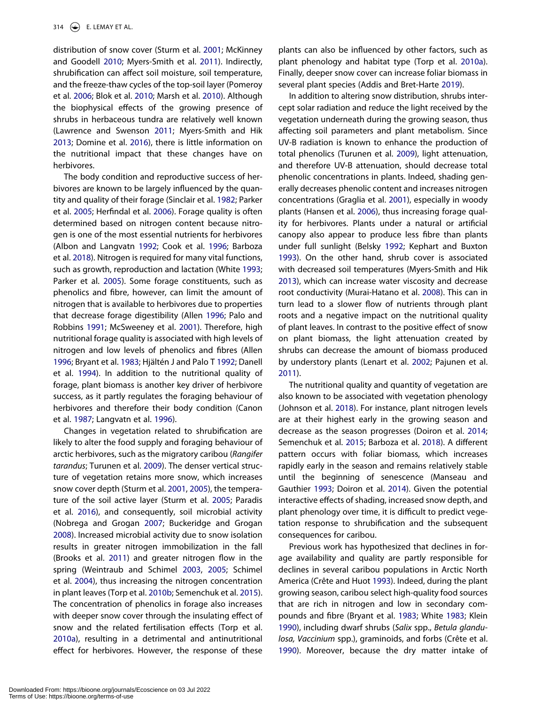<span id="page-2-22"></span><span id="page-2-5"></span>distribution of snow cover (Sturm et al. [2001;](#page-13-1) McKinney and Goodell [2010](#page-12-0); Myers-Smith et al. [2011\)](#page-12-1). Indirectly, shrubification can affect soil moisture, soil temperature, and the freeze-thaw cycles of the top-soil layer (Pomeroy et al. [2006](#page-13-2); Blok et al. [2010](#page-10-0); Marsh et al. [2010\)](#page-12-2). Although the biophysical effects of the growing presence of shrubs in herbaceous tundra are relatively well known (Lawrence and Swenson [2011;](#page-12-3) Myers-Smith and Hik [2013;](#page-12-4) Domine et al. [2016](#page-11-2)), there is little information on the nutritional impact that these changes have on herbivores.

<span id="page-2-36"></span><span id="page-2-29"></span><span id="page-2-27"></span><span id="page-2-20"></span><span id="page-2-17"></span><span id="page-2-14"></span><span id="page-2-1"></span>The body condition and reproductive success of herbivores are known to be largely influenced by the quantity and quality of their forage (Sinclair et al. [1982;](#page-13-3) Parker et al. [2005;](#page-12-5) Herfindal et al. [2006](#page-12-6)). Forage quality is often determined based on nitrogen content because nitrogen is one of the most essential nutrients for herbivores (Albon and Langvatn [1992;](#page-10-1) Cook et al. [1996;](#page-11-3) Barboza et al. [2018](#page-10-2)). Nitrogen is required for many vital functions, such as growth, reproduction and lactation (White [1993;](#page-13-4) Parker et al. [2005\)](#page-12-5). Some forage constituents, such as phenolics and fibre, however, can limit the amount of nitrogen that is available to herbivores due to properties that decrease forage digestibility (Allen [1996;](#page-10-3) Palo and Robbins [1991](#page-12-7); McSweeney et al. [2001](#page-12-8)). Therefore, high nutritional forage quality is associated with high levels of nitrogen and low levels of phenolics and fibres (Allen [1996;](#page-10-3) Bryant et al. [1983](#page-11-4); Hjältén J and Palo T [1992;](#page-12-9) Danell et al. [1994](#page-11-5)). In addition to the nutritional quality of forage, plant biomass is another key driver of herbivore success, as it partly regulates the foraging behaviour of herbivores and therefore their body condition (Canon et al. [1987;](#page-11-6) Langvatn et al. [1996](#page-12-10)).

<span id="page-2-35"></span><span id="page-2-33"></span><span id="page-2-31"></span><span id="page-2-30"></span><span id="page-2-28"></span><span id="page-2-26"></span><span id="page-2-23"></span><span id="page-2-18"></span><span id="page-2-12"></span><span id="page-2-9"></span><span id="page-2-8"></span><span id="page-2-6"></span><span id="page-2-2"></span>Changes in vegetation related to shrubification are likely to alter the food supply and foraging behaviour of arctic herbivores, such as the migratory caribou (*Rangifer tarandus*; Turunen et al. [2009](#page-13-5)). The denser vertical structure of vegetation retains more snow, which increases snow cover depth (Sturm et al. [2001,](#page-13-1) [2005](#page-13-6)), the temperature of the soil active layer (Sturm et al. [2005;](#page-13-6) Paradis et al. [2016\)](#page-12-11), and consequently, soil microbial activity (Nobrega and Grogan [2007](#page-12-12); Buckeridge and Grogan [2008\)](#page-11-7). Increased microbial activity due to snow isolation results in greater nitrogen immobilization in the fall (Brooks et al. [2011](#page-11-8)) and greater nitrogen flow in the spring (Weintraub and Schimel [2003](#page-13-7), [2005;](#page-13-8) Schimel et al. [2004\)](#page-13-9), thus increasing the nitrogen concentration in plant leaves (Torp et al. [2010b;](#page-13-10) Semenchuk et al. [2015\)](#page-13-11). The concentration of phenolics in forage also increases with deeper snow cover through the insulating effect of snow and the related fertilisation effects (Torp et al. [2010a](#page-13-12)), resulting in a detrimental and antinutritional effect for herbivores. However, the response of these <span id="page-2-32"></span>plants can also be influenced by other factors, such as plant phenology and habitat type (Torp et al. [2010a\)](#page-13-12). Finally, deeper snow cover can increase foliar biomass in several plant species (Addis and Bret-Harte [2019\)](#page-10-4).

<span id="page-2-34"></span><span id="page-2-16"></span><span id="page-2-15"></span><span id="page-2-0"></span>In addition to altering snow distribution, shrubs intercept solar radiation and reduce the light received by the vegetation underneath during the growing season, thus affecting soil parameters and plant metabolism. Since UV-B radiation is known to enhance the production of total phenolics (Turunen et al. [2009](#page-13-5)), light attenuation, and therefore UV-B attenuation, should decrease total phenolic concentrations in plants. Indeed, shading generally decreases phenolic content and increases nitrogen concentrations (Graglia et al. [2001\)](#page-11-9), especially in woody plants (Hansen et al. [2006](#page-11-10)), thus increasing forage quality for herbivores. Plants under a natural or artificial canopy also appear to produce less fibre than plants under full sunlight (Belsky [1992](#page-10-5); Kephart and Buxton [1993](#page-12-13)). On the other hand, shrub cover is associated with decreased soil temperatures (Myers-Smith and Hik [2013](#page-12-4)), which can increase water viscosity and decrease root conductivity (Murai-Hatano et al. [2008](#page-12-14)). This can in turn lead to a slower flow of nutrients through plant roots and a negative impact on the nutritional quality of plant leaves. In contrast to the positive effect of snow on plant biomass, the light attenuation created by shrubs can decrease the amount of biomass produced by understory plants (Lenart et al. [2002;](#page-12-15) Pajunen et al. [2011](#page-12-16)).

<span id="page-2-25"></span><span id="page-2-24"></span><span id="page-2-21"></span><span id="page-2-19"></span><span id="page-2-4"></span><span id="page-2-3"></span>The nutritional quality and quantity of vegetation are also known to be associated with vegetation phenology (Johnson et al. [2018](#page-12-17)). For instance, plant nitrogen levels are at their highest early in the growing season and decrease as the season progresses (Doiron et al. [2014](#page-11-11); Semenchuk et al. [2015](#page-13-11); Barboza et al. [2018](#page-10-2)). A different pattern occurs with foliar biomass, which increases rapidly early in the season and remains relatively stable until the beginning of senescence (Manseau and Gauthier [1993](#page-12-18); Doiron et al. [2014\)](#page-11-11). Given the potential interactive effects of shading, increased snow depth, and plant phenology over time, it is difficult to predict vegetation response to shrubification and the subsequent consequences for caribou.

<span id="page-2-13"></span><span id="page-2-11"></span><span id="page-2-10"></span><span id="page-2-7"></span>Previous work has hypothesized that declines in forage availability and quality are partly responsible for declines in several caribou populations in Arctic North America (Crête and Huot [1993](#page-11-12)). Indeed, during the plant growing season, caribou select high-quality food sources that are rich in nitrogen and low in secondary compounds and fibre (Bryant et al. [1983](#page-11-4); White [1983](#page-13-13); Klein [1990](#page-12-19)), including dwarf shrubs (*Salix* spp., *Betula glandulosa, Vaccinium* spp.), graminoids, and forbs (Crête et al. [1990](#page-11-13)). Moreover, because the dry matter intake of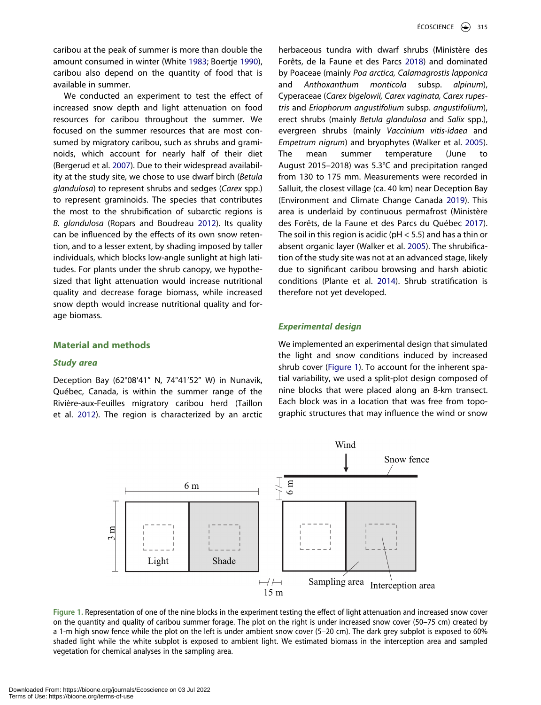<span id="page-3-2"></span>caribou at the peak of summer is more than double the amount consumed in winter (White [1983](#page-13-13); Boertje [1990\)](#page-10-6), caribou also depend on the quantity of food that is available in summer.

<span id="page-3-7"></span><span id="page-3-1"></span>We conducted an experiment to test the effect of increased snow depth and light attenuation on food resources for caribou throughout the summer. We focused on the summer resources that are most consumed by migratory caribou, such as shrubs and graminoids, which account for nearly half of their diet (Bergerud et al. [2007](#page-10-7)). Due to their widespread availability at the study site, we chose to use dwarf birch (*Betula glandulosa*) to represent shrubs and sedges (*Carex* spp.) to represent graminoids. The species that contributes the most to the shrubification of subarctic regions is *B. glandulosa* (Ropars and Boudreau [2012](#page-13-14)). Its quality can be influenced by the effects of its own snow retention, and to a lesser extent, by shading imposed by taller individuals, which blocks low-angle sunlight at high latitudes. For plants under the shrub canopy, we hypothesized that light attenuation would increase nutritional quality and decrease forage biomass, while increased snow depth would increase nutritional quality and forage biomass.

# **Material and methods**

#### *Study area*

<span id="page-3-8"></span>Deception Bay (62°08ʹ41" N, 74°41ʹ52" W) in Nunavik, Québec, Canada, is within the summer range of the Rivière-aux-Feuilles migratory caribou herd (Taillon et al. [2012\)](#page-13-15). The region is characterized by an arctic <span id="page-3-4"></span>herbaceous tundra with dwarf shrubs (Ministère des Forêts, de la Faune et des Parcs [2018\)](#page-12-20) and dominated by Poaceae (mainly *Poa arctica, Calamagrostis lapponica*  and *Anthoxanthum monticola* subsp. *alpinum*), Cyperaceae (*Carex bigelowii, Carex vaginata, Carex rupestris* and *Eriophorum angustifolium* subsp. *angustifolium*), erect shrubs (mainly *Betula glandulosa* and *Salix* spp.), evergreen shrubs (mainly *Vaccinium vitis-idaea* and *Empetrum nigrum*) and bryophytes (Walker et al. [2005\)](#page-13-16). The mean summer temperature (June to August 2015–2018) was 5.3°C and precipitation ranged from 130 to 175 mm. Measurements were recorded in Salluit, the closest village (ca. 40 km) near Deception Bay (Environment and Climate Change Canada [2019\)](#page-11-14). This area is underlaid by continuous permafrost (Ministère des Forêts, de la Faune et des Parcs du Québec [2017\)](#page-12-21). The soil in this region is acidic ( $pH < 5.5$ ) and has a thin or absent organic layer (Walker et al. [2005\)](#page-13-16). The shrubification of the study site was not at an advanced stage, likely due to significant caribou browsing and harsh abiotic conditions (Plante et al. [2014\)](#page-12-22). Shrub stratification is therefore not yet developed.

#### <span id="page-3-9"></span><span id="page-3-6"></span><span id="page-3-5"></span><span id="page-3-3"></span>*Experimental design*

We implemented an experimental design that simulated the light and snow conditions induced by increased shrub cover [\(Figure 1](#page-3-0)). To account for the inherent spatial variability, we used a split-plot design composed of nine blocks that were placed along an 8-km transect. Each block was in a location that was free from topographic structures that may influence the wind or snow

<span id="page-3-0"></span>

**Figure 1.** Representation of one of the nine blocks in the experiment testing the effect of light attenuation and increased snow cover on the quantity and quality of caribou summer forage. The plot on the right is under increased snow cover (50–75 cm) created by a 1-m high snow fence while the plot on the left is under ambient snow cover (5–20 cm). The dark grey subplot is exposed to 60% shaded light while the white subplot is exposed to ambient light. We estimated biomass in the interception area and sampled vegetation for chemical analyses in the sampling area.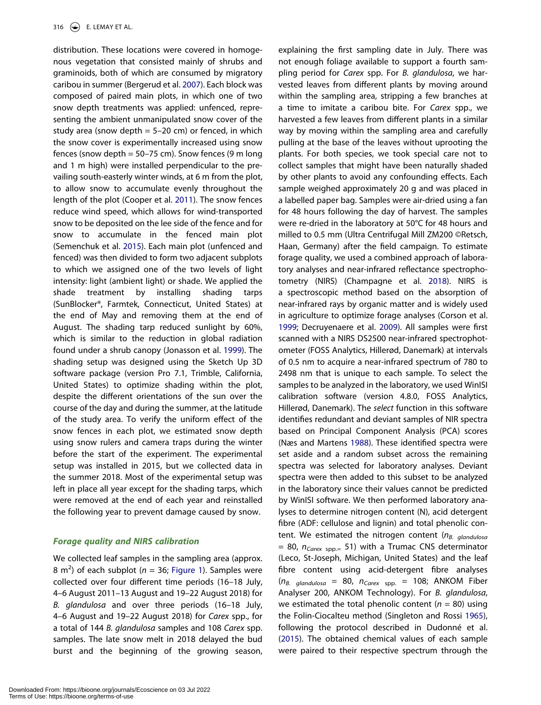<span id="page-4-1"></span>distribution. These locations were covered in homogenous vegetation that consisted mainly of shrubs and graminoids, both of which are consumed by migratory caribou in summer (Bergerud et al. [2007\)](#page-10-7). Each block was composed of paired main plots, in which one of two snow depth treatments was applied: unfenced, representing the ambient unmanipulated snow cover of the study area (snow depth  $= 5-20$  cm) or fenced, in which the snow cover is experimentally increased using snow fences (snow depth  $= 50 - 75$  cm). Snow fences (9 m long and 1 m high) were installed perpendicular to the prevailing south-easterly winter winds, at 6 m from the plot, to allow snow to accumulate evenly throughout the length of the plot (Cooper et al. [2011\)](#page-11-15). The snow fences reduce wind speed, which allows for wind-transported snow to be deposited on the lee side of the fence and for snow to accumulate in the fenced main plot (Semenchuk et al. [2015](#page-13-11)). Each main plot (unfenced and fenced) was then divided to form two adjacent subplots to which we assigned one of the two levels of light intensity: light (ambient light) or shade. We applied the shade treatment by installing shading tarps (SunBlocker®, Farmtek, Connecticut, United States) at the end of May and removing them at the end of August. The shading tarp reduced sunlight by 60%, which is similar to the reduction in global radiation found under a shrub canopy (Jonasson et al. [1999](#page-12-23)). The shading setup was designed using the Sketch Up 3D software package (version Pro 7.1, Trimble, California, United States) to optimize shading within the plot, despite the different orientations of the sun over the course of the day and during the summer, at the latitude of the study area. To verify the uniform effect of the snow fences in each plot, we estimated snow depth using snow rulers and camera traps during the winter before the start of the experiment. The experimental setup was installed in 2015, but we collected data in the summer 2018. Most of the experimental setup was left in place all year except for the shading tarps, which were removed at the end of each year and reinstalled the following year to prevent damage caused by snow.

#### <span id="page-4-6"></span><span id="page-4-5"></span>*Forage quality and NIRS calibration*

<span id="page-4-7"></span><span id="page-4-4"></span>We collected leaf samples in the sampling area (approx.  $8 \text{ m}^2$ ) of each subplot ( $n = 36$ ; [Figure 1](#page-3-0)). Samples were collected over four different time periods (16–18 July, 4–6 August 2011–13 August and 19–22 August 2018) for *B. glandulosa* and over three periods (16–18 July, 4–6 August and 19–22 August 2018) for *Carex* spp., for a total of 144 *B. glandulosa* samples and 108 *Carex* spp. samples. The late snow melt in 2018 delayed the bud burst and the beginning of the growing season, <span id="page-4-3"></span><span id="page-4-2"></span><span id="page-4-0"></span>not enough foliage available to support a fourth sampling period for *Carex* spp. For *B. glandulosa*, we harvested leaves from different plants by moving around within the sampling area, stripping a few branches at a time to imitate a caribou bite. For *Carex* spp., we harvested a few leaves from different plants in a similar way by moving within the sampling area and carefully pulling at the base of the leaves without uprooting the plants. For both species, we took special care not to collect samples that might have been naturally shaded by other plants to avoid any confounding effects. Each sample weighed approximately 20 g and was placed in a labelled paper bag. Samples were air-dried using a fan for 48 hours following the day of harvest. The samples were re-dried in the laboratory at 50°C for 48 hours and milled to 0.5 mm (Ultra Centrifugal Mill ZM200 ©Retsch, Haan, Germany) after the field campaign. To estimate forage quality, we used a combined approach of laboratory analyses and near-infrared reflectance spectrophotometry (NIRS) (Champagne et al. [2018](#page-11-16)). NIRS is a spectroscopic method based on the absorption of near-infrared rays by organic matter and is widely used in agriculture to optimize forage analyses (Corson et al. [1999](#page-11-17); Decruyenaere et al. [2009\)](#page-11-18). All samples were first scanned with a NIRS DS2500 near-infrared spectrophotometer (FOSS Analytics, Hillerød, Danemark) at intervals of 0.5 nm to acquire a near-infrared spectrum of 780 to 2498 nm that is unique to each sample. To select the samples to be analyzed in the laboratory, we used WinISI calibration software (version 4.8.0, FOSS Analytics, Hillerød, Danemark). The *select* function in this software identifies redundant and deviant samples of NIR spectra based on Principal Component Analysis (PCA) scores (Næs and Martens [1988](#page-12-24)). These identified spectra were set aside and a random subset across the remaining spectra was selected for laboratory analyses. Deviant spectra were then added to this subset to be analyzed in the laboratory since their values cannot be predicted by WinISI software. We then performed laboratory analyses to determine nitrogen content (N), acid detergent fibre (ADF: cellulose and lignin) and total phenolic content. We estimated the nitrogen content ( $n_{B.$  *qlandulosa*  $= 80$ ,  $n_{Carex spp}= 51$ ) with a Trumac CNS determinator (Leco, St-Joseph, Michigan, United States) and the leaf fibre content using acid-detergent fibre analyses (*nB. glandulosa* = 80, *nCarex* spp. = 108; ANKOM Fiber Analyser 200, ANKOM Technology). For *B. glandulosa*, we estimated the total phenolic content (*n* = 80) using the Folin-Ciocalteu method (Singleton and Rossi [1965\)](#page-13-17), following the protocol described in Dudonné et al. ([2015](#page-11-19)). The obtained chemical values of each sample were paired to their respective spectrum through the

explaining the first sampling date in July. There was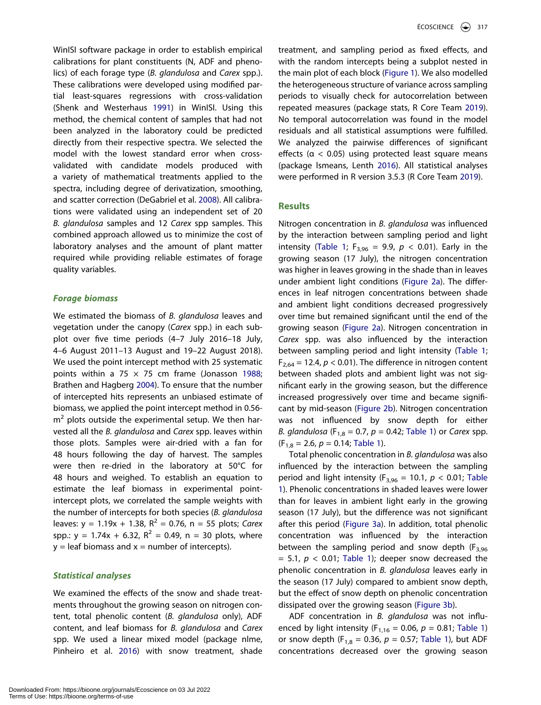<span id="page-5-6"></span>WinISI software package in order to establish empirical calibrations for plant constituents (N, ADF and phenolics) of each forage type (*B. glandulosa* and *Carex* spp.). These calibrations were developed using modified partial least-squares regressions with cross-validation (Shenk and Westerhaus [1991\)](#page-13-18) in WinISI. Using this method, the chemical content of samples that had not been analyzed in the laboratory could be predicted directly from their respective spectra. We selected the model with the lowest standard error when crossvalidated with candidate models produced with a variety of mathematical treatments applied to the spectra, including degree of derivatization, smoothing, and scatter correction (DeGabriel et al. [2008](#page-11-20)). All calibrations were validated using an independent set of 20 *B. glandulosa* samples and 12 *Carex* spp samples. This combined approach allowed us to minimize the cost of laboratory analyses and the amount of plant matter required while providing reliable estimates of forage quality variables.

### <span id="page-5-1"></span>*Forage biomass*

<span id="page-5-2"></span><span id="page-5-0"></span>We estimated the biomass of *B. glandulosa* leaves and vegetation under the canopy (*Carex* spp.) in each subplot over five time periods (4–7 July 2016–18 July, 4–6 August 2011–13 August and 19–22 August 2018). We used the point intercept method with 25 systematic points within a 75  $\times$  75 cm frame (Jonasson [1988;](#page-12-25) Brathen and Hagberg [2004](#page-10-8)). To ensure that the number of intercepted hits represents an unbiased estimate of biomass, we applied the point intercept method in 0.56  $m<sup>2</sup>$  plots outside the experimental setup. We then harvested all the *B. glandulosa* and *Carex* spp. leaves within those plots. Samples were air-dried with a fan for 48 hours following the day of harvest. The samples were then re-dried in the laboratory at 50°C for 48 hours and weighed. To establish an equation to estimate the leaf biomass in experimental pointintercept plots, we correlated the sample weights with the number of intercepts for both species (*B. glandulosa*  leaves:  $y = 1.19x + 1.38$ ,  $R^2 = 0.76$ ,  $n = 55$  plots; *Carex* spp.:  $y = 1.74x + 6.32$ ,  $R^2 = 0.49$ ,  $n = 30$  plots, where  $y =$  leaf biomass and  $x =$  number of intercepts).

## *Statistical analyses*

<span id="page-5-4"></span>We examined the effects of the snow and shade treatments throughout the growing season on nitrogen content, total phenolic content (*B. glandulosa* only), ADF content, and leaf biomass for *B. glandulosa* and *Carex*  spp. We used a linear mixed model (package nlme, Pinheiro et al. [2016](#page-12-26)) with snow treatment, shade

treatment, and sampling period as fixed effects, and with the random intercepts being a subplot nested in the main plot of each block [\(Figure 1\)](#page-3-0). We also modelled the heterogeneous structure of variance across sampling periods to visually check for autocorrelation between repeated measures (package stats, R Core Team [2019\)](#page-13-19). No temporal autocorrelation was found in the model residuals and all statistical assumptions were fulfilled. We analyzed the pairwise differences of significant effects ( $\alpha$  < 0.05) using protected least square means (package lsmeans, Lenth [2016\)](#page-12-27). All statistical analyses were performed in R version 3.5.3 (R Core Team [2019\)](#page-13-19).

# <span id="page-5-5"></span><span id="page-5-3"></span>**Results**

Nitrogen concentration in *B. glandulosa* was influenced by the interaction between sampling period and light intensity [\(Table 1](#page-6-0);  $F_{3,96} = 9.9$ ,  $p < 0.01$ ). Early in the growing season (17 July), the nitrogen concentration was higher in leaves growing in the shade than in leaves under ambient light conditions ([Figure 2a](#page-6-1)). The differences in leaf nitrogen concentrations between shade and ambient light conditions decreased progressively over time but remained significant until the end of the growing season [\(Figure 2a\)](#page-6-1). Nitrogen concentration in *Carex* spp. was also influenced by the interaction between sampling period and light intensity [\(Table 1](#page-6-0);  $F_{2,64} = 12.4$ ,  $p < 0.01$ ). The difference in nitrogen content between shaded plots and ambient light was not significant early in the growing season, but the difference increased progressively over time and became significant by mid-season [\(Figure 2b\)](#page-6-1). Nitrogen concentration was not influenced by snow depth for either *B. glandulosa* ( $F_{1,8} = 0.7$ ,  $p = 0.42$ ; [Table 1\)](#page-6-0) or *Carex spp.*  $(F<sub>1,8</sub> = 2.6, p = 0.14;$  [Table 1](#page-6-0)).

Total phenolic concentration in *B. glandulosa* was also influenced by the interaction between the sampling period and light intensity ( $F_{3,96}$  = 10.1,  $p < 0.01$ ; [Table](#page-6-0) [1\)](#page-6-0). Phenolic concentrations in shaded leaves were lower than for leaves in ambient light early in the growing season (17 July), but the difference was not significant after this period [\(Figure 3a](#page-7-0)). In addition, total phenolic concentration was influenced by the interaction between the sampling period and snow depth  $(F_{3,96})$  $= 5.1, p < 0.01$ ; [Table 1\)](#page-6-0); deeper snow decreased the phenolic concentration in *B. glandulosa* leaves early in the season (17 July) compared to ambient snow depth, but the effect of snow depth on phenolic concentration dissipated over the growing season ([Figure 3b\)](#page-7-0).

ADF concentration in *B. glandulosa* was not influenced by light intensity ( $F_{1,16} = 0.06$ ,  $p = 0.81$ ; [Table 1\)](#page-6-0) or snow depth ( $F_{1,8} = 0.36$ ,  $p = 0.57$ ; [Table 1\)](#page-6-0), but ADF concentrations decreased over the growing season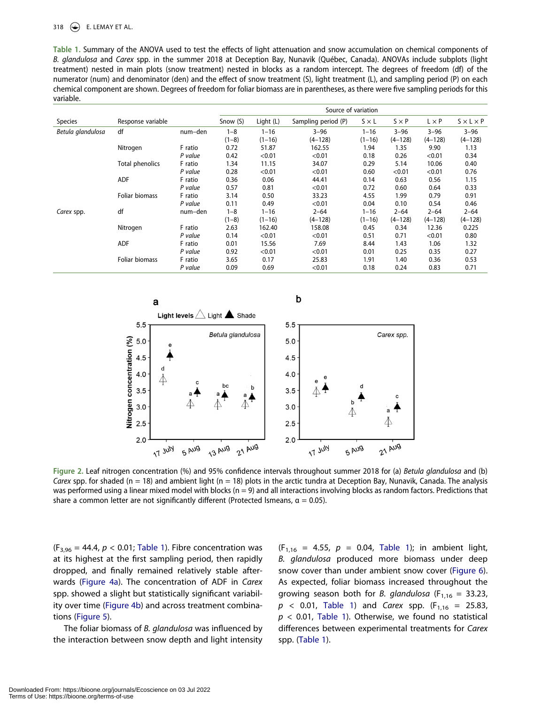#### 318  $\bigodot$  E. LEMAY ET AL.

<span id="page-6-0"></span>**Table 1.** Summary of the ANOVA used to test the effects of light attenuation and snow accumulation on chemical components of *B. glandulosa* and *Carex* spp. in the summer 2018 at Deception Bay, Nunavik (Québec, Canada). ANOVAs include subplots (light treatment) nested in main plots (snow treatment) nested in blocks as a random intercept. The degrees of freedom (df) of the numerator (num) and denominator (den) and the effect of snow treatment (S), light treatment (L), and sampling period (P) on each chemical component are shown. Degrees of freedom for foliar biomass are in parentheses, as there were five sampling periods for this variable.

|                   |                        |         | Source of variation |           |                     |              |              |              |                       |
|-------------------|------------------------|---------|---------------------|-----------|---------------------|--------------|--------------|--------------|-----------------------|
| Species           | Response variable      |         | Snow (S)            | Light (L) | Sampling period (P) | $S \times L$ | $S \times P$ | $L \times P$ | $S \times L \times P$ |
| Betula glandulosa | df                     | num-den | $1 - 8$             | $1 - 16$  | $3 - 96$            | $1 - 16$     | $3 - 96$     | $3 - 96$     | $3 - 96$              |
|                   |                        |         | $(1-8)$             | $(1-16)$  | $(4 - 128)$         | $(1-16)$     | $(4 - 128)$  | $(4 - 128)$  | $(4 - 128)$           |
|                   | Nitrogen               | F ratio | 0.72                | 51.87     | 162.55              | 1.94         | 1.35         | 9.90         | 1.13                  |
|                   |                        | P value | 0.42                | < 0.01    | < 0.01              | 0.18         | 0.26         | < 0.01       | 0.34                  |
|                   | <b>Total phenolics</b> | F ratio | 1.34                | 11.15     | 34.07               | 0.29         | 5.14         | 10.06        | 0.40                  |
|                   |                        | P value | 0.28                | < 0.01    | < 0.01              | 0.60         | < 0.01       | < 0.01       | 0.76                  |
|                   | ADF                    | F ratio | 0.36                | 0.06      | 44.41               | 0.14         | 0.63         | 0.56         | 1.15                  |
|                   |                        | P value | 0.57                | 0.81      | < 0.01              | 0.72         | 0.60         | 0.64         | 0.33                  |
|                   | Foliar biomass         | F ratio | 3.14                | 0.50      | 33.23               | 4.55         | 1.99         | 0.79         | 0.91                  |
|                   |                        | P value | 0.11                | 0.49      | < 0.01              | 0.04         | 0.10         | 0.54         | 0.46                  |
| Carex spp.        | df                     | num-den | $1 - 8$             | $1 - 16$  | $2 - 64$            | $1 - 16$     | $2 - 64$     | $2 - 64$     | $2 - 64$              |
|                   |                        |         | $(1-8)$             | $(1-16)$  | $(4 - 128)$         | $(1-16)$     | $(4 - 128)$  | $(4 - 128)$  | $(4 - 128)$           |
|                   | Nitrogen               | F ratio | 2.63                | 162.40    | 158.08              | 0.45         | 0.34         | 12.36        | 0.225                 |
|                   |                        | P value | 0.14                | < 0.01    | < 0.01              | 0.51         | 0.71         | < 0.01       | 0.80                  |
|                   | ADF                    | F ratio | 0.01                | 15.56     | 7.69                | 8.44         | 1.43         | 1.06         | 1.32                  |
|                   |                        | P value | 0.92                | < 0.01    | < 0.01              | 0.01         | 0.25         | 0.35         | 0.27                  |
|                   | Foliar biomass         | F ratio | 3.65                | 0.17      | 25.83               | 1.91         | 1.40         | 0.36         | 0.53                  |
|                   |                        | P value | 0.09                | 0.69      | < 0.01              | 0.18         | 0.24         | 0.83         | 0.71                  |

<span id="page-6-1"></span>

**Figure 2.** Leaf nitrogen concentration (%) and 95% confidence intervals throughout summer 2018 for (a) *Betula glandulosa* and (b) *Carex* spp. for shaded (n = 18) and ambient light (n = 18) plots in the arctic tundra at Deception Bay, Nunavik, Canada. The analysis was performed using a linear mixed model with blocks ( $n = 9$ ) and all interactions involving blocks as random factors. Predictions that share a common letter are not significantly different (Protected Ismeans,  $\alpha = 0.05$ ).

 $(F_{3,96} = 44.4, p < 0.01$ ; [Table 1\)](#page-6-0). Fibre concentration was at its highest at the first sampling period, then rapidly dropped, and finally remained relatively stable afterwards [\(Figure 4a](#page-7-1)). The concentration of ADF in *Carex*  spp. showed a slight but statistically significant variability over time ([Figure 4b\)](#page-7-1) and across treatment combinations [\(Figure 5\)](#page-8-0).

The foliar biomass of *B. glandulosa* was influenced by the interaction between snow depth and light intensity  $(F_{1,16} = 4.55, p = 0.04,$  [Table 1\)](#page-6-0); in ambient light, *B. glandulosa* produced more biomass under deep snow cover than under ambient snow cover ([Figure 6\)](#page-8-1). As expected, foliar biomass increased throughout the growing season both for *B*. glandulosa  $(F_{1,16} = 33.23)$ ,  $p$  < 0.01, [Table 1](#page-6-0)) and *Carex* spp. (F<sub>1,16</sub> = 25.83, *p <* 0.01, [Table 1](#page-6-0)). Otherwise, we found no statistical differences between experimental treatments for *Carex*  spp. ([Table 1\)](#page-6-0).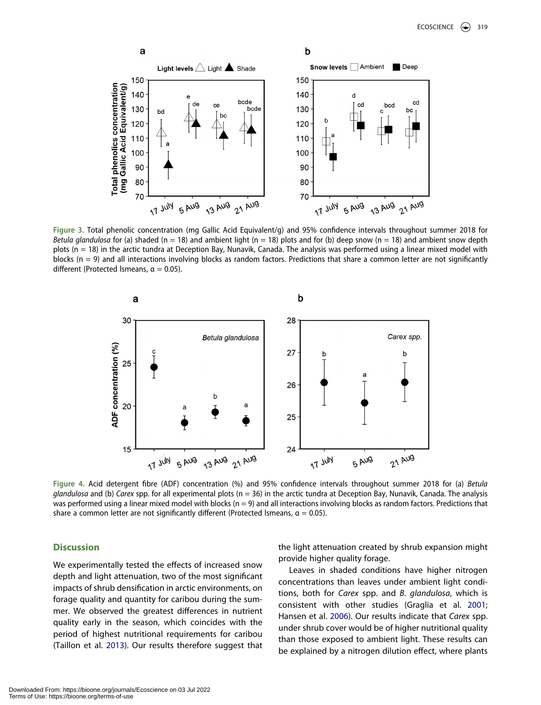<span id="page-7-0"></span>

**Figure 3.** Total phenolic concentration (mg Gallic Acid Equivalent/g) and 95% confidence intervals throughout summer 2018 for *Betula glandulosa* for (a) shaded (n = 18) and ambient light (n = 18) plots and for (b) deep snow (n = 18) and ambient snow depth plots (n = 18) in the arctic tundra at Deception Bay, Nunavik, Canada. The analysis was performed using a linear mixed model with blocks (n = 9) and all interactions involving blocks as random factors. Predictions that share a common letter are not significantly different (Protected Ismeans,  $\alpha = 0.05$ ).

<span id="page-7-1"></span>

**Figure 4.** Acid detergent fibre (ADF) concentration (%) and 95% confidence intervals throughout summer 2018 for (a) *Betula glandulosa* and (b) *Carex* spp. for all experimental plots (n = 36) in the arctic tundra at Deception Bay, Nunavik, Canada. The analysis was performed using a linear mixed model with blocks ( $n = 9$ ) and all interactions involving blocks as random factors. Predictions that share a common letter are not significantly different (Protected Ismeans,  $\alpha = 0.05$ ).

# **Discussion**

<span id="page-7-2"></span>We experimentally tested the effects of increased snow depth and light attenuation, two of the most significant impacts of shrub densification in arctic environments, on forage quality and quantity for caribou during the summer. We observed the greatest differences in nutrient quality early in the season, which coincides with the period of highest nutritional requirements for caribou (Taillon et al. [2013](#page-13-20)). Our results therefore suggest that the light attenuation created by shrub expansion might provide higher quality forage.

Leaves in shaded conditions have higher nitrogen concentrations than leaves under ambient light conditions, both for *Carex* spp. and *B. glandulosa*, which is consistent with other studies (Graglia et al. [2001](#page-11-9); Hansen et al. [2006](#page-11-10)). Our results indicate that *Carex* spp. under shrub cover would be of higher nutritional quality than those exposed to ambient light. These results can be explained by a nitrogen dilution effect, where plants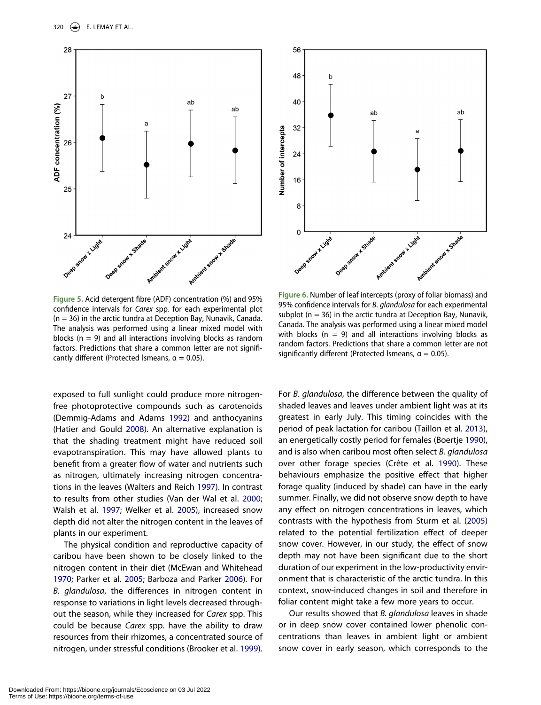<span id="page-8-0"></span>

**Figure 5.** Acid detergent fibre (ADF) concentration (%) and 95% confidence intervals for *Carex* spp. for each experimental plot  $(n = 36)$  in the arctic tundra at Deception Bay, Nunavik, Canada. The analysis was performed using a linear mixed model with blocks ( $n = 9$ ) and all interactions involving blocks as random factors. Predictions that share a common letter are not significantly different (Protected Ismeans,  $\alpha = 0.05$ ).

<span id="page-8-5"></span><span id="page-8-4"></span>exposed to full sunlight could produce more nitrogenfree photoprotective compounds such as carotenoids (Demmig-Adams and Adams [1992](#page-11-21)) and anthocyanins (Hatier and Gould [2008](#page-11-22)). An alternative explanation is that the shading treatment might have reduced soil evapotranspiration. This may have allowed plants to benefit from a greater flow of water and nutrients such as nitrogen, ultimately increasing nitrogen concentrations in the leaves (Walters and Reich [1997\)](#page-13-21). In contrast to results from other studies (Van der Wal et al. [2000;](#page-13-22) Walsh et al. [1997](#page-13-23); Welker et al. [2005](#page-13-24)), increased snow depth did not alter the nitrogen content in the leaves of plants in our experiment.

<span id="page-8-9"></span><span id="page-8-8"></span><span id="page-8-7"></span><span id="page-8-6"></span><span id="page-8-3"></span><span id="page-8-2"></span>The physical condition and reproductive capacity of caribou have been shown to be closely linked to the nitrogen content in their diet (McEwan and Whitehead [1970;](#page-12-28) Parker et al. [2005](#page-12-5); Barboza and Parker [2006\)](#page-10-9). For *B. glandulosa*, the differences in nitrogen content in response to variations in light levels decreased throughout the season, while they increased for *Carex* spp. This could be because *Carex* spp. have the ability to draw resources from their rhizomes, a concentrated source of nitrogen, under stressful conditions (Brooker et al. [1999\)](#page-11-23).

<span id="page-8-1"></span>

**Figure 6.** Number of leaf intercepts (proxy of foliar biomass) and 95% confidence intervals for *B. glandulosa* for each experimental subplot ( $n = 36$ ) in the arctic tundra at Deception Bay, Nunavik, Canada. The analysis was performed using a linear mixed model with blocks ( $n = 9$ ) and all interactions involving blocks as random factors. Predictions that share a common letter are not significantly different (Protected Ismeans,  $\alpha = 0.05$ ).

For *B. glandulosa*, the difference between the quality of shaded leaves and leaves under ambient light was at its greatest in early July. This timing coincides with the period of peak lactation for caribou (Taillon et al. [2013\)](#page-13-20), an energetically costly period for females (Boertje [1990\)](#page-10-6), and is also when caribou most often select *B. glandulosa*  over other forage species (Crête et al. [1990](#page-11-13)). These behaviours emphasize the positive effect that higher forage quality (induced by shade) can have in the early summer. Finally, we did not observe snow depth to have any effect on nitrogen concentrations in leaves, which contrasts with the hypothesis from Sturm et al. [\(2005\)](#page-13-6) related to the potential fertilization effect of deeper snow cover. However, in our study, the effect of snow depth may not have been significant due to the short duration of our experiment in the low-productivity environment that is characteristic of the arctic tundra. In this context, snow-induced changes in soil and therefore in foliar content might take a few more years to occur.

Our results showed that *B. glandulosa* leaves in shade or in deep snow cover contained lower phenolic concentrations than leaves in ambient light or ambient snow cover in early season, which corresponds to the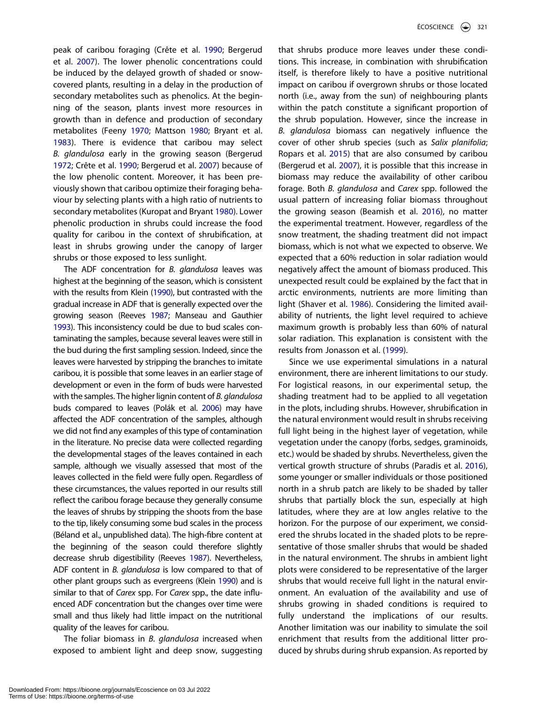<span id="page-9-2"></span><span id="page-9-1"></span>peak of caribou foraging (Crête et al. [1990](#page-11-13); Bergerud et al. [2007\)](#page-10-7). The lower phenolic concentrations could be induced by the delayed growth of shaded or snowcovered plants, resulting in a delay in the production of secondary metabolites such as phenolics. At the beginning of the season, plants invest more resources in growth than in defence and production of secondary metabolites (Feeny [1970;](#page-11-24) Mattson [1980;](#page-12-29) Bryant et al. [1983\)](#page-11-4). There is evidence that caribou may select *B. glandulosa* early in the growing season (Bergerud [1972;](#page-10-10) Crête et al. [1990](#page-11-13); Bergerud et al. [2007](#page-10-7)) because of the low phenolic content. Moreover, it has been previously shown that caribou optimize their foraging behaviour by selecting plants with a high ratio of nutrients to secondary metabolites (Kuropat and Bryant [1980\)](#page-12-30). Lower phenolic production in shrubs could increase the food quality for caribou in the context of shrubification, at least in shrubs growing under the canopy of larger shrubs or those exposed to less sunlight.

<span id="page-9-4"></span><span id="page-9-3"></span>The ADF concentration for *B. glandulosa* leaves was highest at the beginning of the season, which is consistent with the results from Klein [\(1990](#page-12-19)), but contrasted with the gradual increase in ADF that is generally expected over the growing season (Reeves [1987](#page-13-25); Manseau and Gauthier [1993\)](#page-12-18). This inconsistency could be due to bud scales contaminating the samples, because several leaves were still in the bud during the first sampling session. Indeed, since the leaves were harvested by stripping the branches to imitate caribou, it is possible that some leaves in an earlier stage of development or even in the form of buds were harvested with the samples. The higher lignin content of *B. glandulosa*  buds compared to leaves (Polák et al. [2006](#page-13-26)) may have affected the ADF concentration of the samples, although we did not find any examples of this type of contamination in the literature. No precise data were collected regarding the developmental stages of the leaves contained in each sample, although we visually assessed that most of the leaves collected in the field were fully open. Regardless of these circumstances, the values reported in our results still reflect the caribou forage because they generally consume the leaves of shrubs by stripping the shoots from the base to the tip, likely consuming some bud scales in the process (Béland et al., unpublished data). The high-fibre content at the beginning of the season could therefore slightly decrease shrub digestibility (Reeves [1987](#page-13-25)). Nevertheless, ADF content in *B. glandulosa* is low compared to that of other plant groups such as evergreens (Klein [1990](#page-12-19)) and is similar to that of *Carex* spp. For *Carex* spp., the date influenced ADF concentration but the changes over time were small and thus likely had little impact on the nutritional quality of the leaves for caribou.

<span id="page-9-5"></span>The foliar biomass in *B. glandulosa* increased when exposed to ambient light and deep snow, suggesting <span id="page-9-6"></span>that shrubs produce more leaves under these conditions. This increase, in combination with shrubification itself, is therefore likely to have a positive nutritional impact on caribou if overgrown shrubs or those located north (i.e., away from the sun) of neighbouring plants within the patch constitute a significant proportion of the shrub population. However, since the increase in *B. glandulosa* biomass can negatively influence the cover of other shrub species (such as *Salix planifolia*; Ropars et al. [2015\)](#page-13-27) that are also consumed by caribou (Bergerud et al. [2007](#page-10-7)), it is possible that this increase in biomass may reduce the availability of other caribou forage. Both *B. glandulosa* and *Carex* spp. followed the usual pattern of increasing foliar biomass throughout the growing season (Beamish et al. [2016](#page-10-11)), no matter the experimental treatment. However, regardless of the snow treatment, the shading treatment did not impact biomass, which is not what we expected to observe. We expected that a 60% reduction in solar radiation would negatively affect the amount of biomass produced. This unexpected result could be explained by the fact that in arctic environments, nutrients are more limiting than light (Shaver et al. [1986](#page-13-28)). Considering the limited availability of nutrients, the light level required to achieve maximum growth is probably less than 60% of natural solar radiation. This explanation is consistent with the results from Jonasson et al. [\(1999\)](#page-12-23).

<span id="page-9-7"></span><span id="page-9-0"></span>Since we use experimental simulations in a natural environment, there are inherent limitations to our study. For logistical reasons, in our experimental setup, the shading treatment had to be applied to all vegetation in the plots, including shrubs. However, shrubification in the natural environment would result in shrubs receiving full light being in the highest layer of vegetation, while vegetation under the canopy (forbs, sedges, graminoids, etc.) would be shaded by shrubs. Nevertheless, given the vertical growth structure of shrubs (Paradis et al. [2016\)](#page-12-11), some younger or smaller individuals or those positioned north in a shrub patch are likely to be shaded by taller shrubs that partially block the sun, especially at high latitudes, where they are at low angles relative to the horizon. For the purpose of our experiment, we considered the shrubs located in the shaded plots to be representative of those smaller shrubs that would be shaded in the natural environment. The shrubs in ambient light plots were considered to be representative of the larger shrubs that would receive full light in the natural environment. An evaluation of the availability and use of shrubs growing in shaded conditions is required to fully understand the implications of our results. Another limitation was our inability to simulate the soil enrichment that results from the additional litter produced by shrubs during shrub expansion. As reported by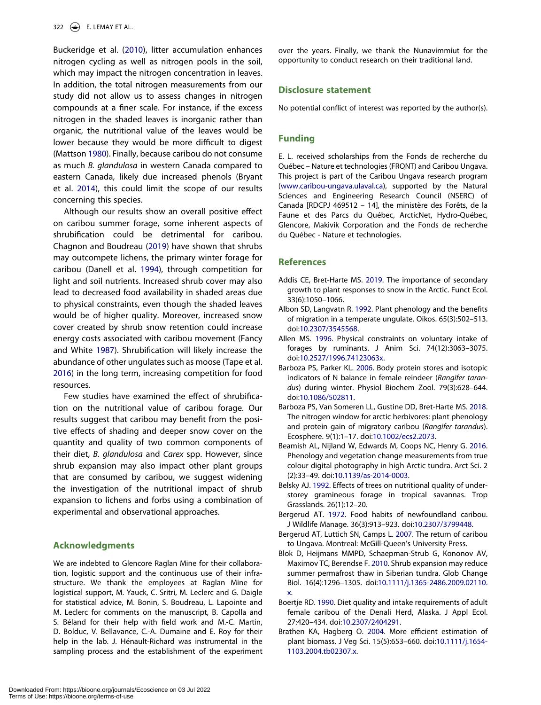<span id="page-10-13"></span>Buckeridge et al. ([2010](#page-11-25)), litter accumulation enhances nitrogen cycling as well as nitrogen pools in the soil, which may impact the nitrogen concentration in leaves. In addition, the total nitrogen measurements from our study did not allow us to assess changes in nitrogen compounds at a finer scale. For instance, if the excess nitrogen in the shaded leaves is inorganic rather than organic, the nutritional value of the leaves would be lower because they would be more difficult to digest (Mattson [1980\)](#page-12-29). Finally, because caribou do not consume as much *B. glandulosa* in western Canada compared to eastern Canada, likely due increased phenols (Bryant et al. [2014](#page-11-26)), this could limit the scope of our results concerning this species.

<span id="page-10-14"></span><span id="page-10-12"></span>Although our results show an overall positive effect on caribou summer forage, some inherent aspects of shrubification could be detrimental for caribou. Chagnon and Boudreau [\(2019\)](#page-11-27) have shown that shrubs may outcompete lichens, the primary winter forage for caribou (Danell et al. [1994\)](#page-11-5), through competition for light and soil nutrients. Increased shrub cover may also lead to decreased food availability in shaded areas due to physical constraints, even though the shaded leaves would be of higher quality. Moreover, increased snow cover created by shrub snow retention could increase energy costs associated with caribou movement (Fancy and White [1987\)](#page-11-28). Shrubification will likely increase the abundance of other ungulates such as moose (Tape et al. [2016\)](#page-13-29) in the long term, increasing competition for food resources.

<span id="page-10-16"></span><span id="page-10-15"></span>Few studies have examined the effect of shrubification on the nutritional value of caribou forage. Our results suggest that caribou may benefit from the positive effects of shading and deeper snow cover on the quantity and quality of two common components of their diet, *B. glandulosa* and *Carex* spp. However, since shrub expansion may also impact other plant groups that are consumed by caribou, we suggest widening the investigation of the nutritional impact of shrub expansion to lichens and forbs using a combination of experimental and observational approaches.

# **Acknowledgments**

We are indebted to Glencore Raglan Mine for their collaboration, logistic support and the continuous use of their infrastructure. We thank the employees at Raglan Mine for logistical support, M. Yauck, C. Sritri, M. Leclerc and G. Daigle for statistical advice, M. Bonin, S. Boudreau, L. Lapointe and M. Leclerc for comments on the manuscript, B. Capolla and S. Béland for their help with field work and M.-C. Martin, D. Bolduc, V. Bellavance, C.-A. Dumaine and E. Roy for their help in the lab. J. Hénault-Richard was instrumental in the sampling process and the establishment of the experiment over the years. Finally, we thank the Nunavimmiut for the opportunity to conduct research on their traditional land.

#### **Disclosure statement**

No potential conflict of interest was reported by the author(s).

# **Funding**

E. L. received scholarships from the Fonds de recherche du Québec – Nature et technologies (FRQNT) and Caribou Ungava. This project is part of the Caribou Ungava research program (www.caribou-ungava.ulaval.ca), supported by the Natural Sciences and Engineering Research Council (NSERC) of Canada [RDCPJ 469512 – 14], the ministère des Forêts, de la Faune et des Parcs du Québec, ArcticNet, Hydro-Québec, Glencore, Makivik Corporation and the Fonds de recherche du Québec - Nature et technologies.

#### **References**

- <span id="page-10-4"></span>Addis CE, Bret-Harte MS. [2019.](#page-2-0) The importance of secondary growth to plant responses to snow in the Arctic. Funct Ecol. 33(6):1050–1066.
- <span id="page-10-1"></span>Albon SD, Langvatn R. [1992.](#page-2-1) Plant phenology and the benefits of migration in a temperate ungulate. Oikos. 65(3):502–513. doi:[10.2307/3545568.](https://doi.org/10.2307/3545568)
- <span id="page-10-3"></span>Allen MS. [1996.](#page-2-2) Physical constraints on voluntary intake of forages by ruminants. J Anim Sci. 74(12):3063–3075. doi:[10.2527/1996.74123063x.](https://doi.org/10.2527/1996.74123063x)
- <span id="page-10-9"></span>Barboza PS, Parker KL. [2006.](#page-8-2) Body protein stores and isotopic indicators of N balance in female reindeer (*Rangifer tarandus*) during winter. Physiol Biochem Zool. 79(3):628–644. doi:[10.1086/502811](https://doi.org/10.1086/502811).
- <span id="page-10-2"></span>Barboza PS, Van Someren LL, Gustine DD, Bret-Harte MS. [2018.](#page-2-3) The nitrogen window for arctic herbivores: plant phenology and protein gain of migratory caribou (*Rangifer tarandus*). Ecosphere. 9(1):1–17. doi:[10.1002/ecs2.2073.](https://doi.org/10.1002/ecs2.2073)
- <span id="page-10-11"></span>Beamish AL, Nijland W, Edwards M, Coops NC, Henry G. [2016.](#page-9-0) Phenology and vegetation change measurements from true colour digital photography in high Arctic tundra. Arct Sci. 2 (2):33–49. doi:[10.1139/as-2014-0003.](https://doi.org/10.1139/as-2014-0003)
- <span id="page-10-5"></span>Belsky AJ. [1992.](#page-2-4) Effects of trees on nutritional quality of understorey gramineous forage in tropical savannas. Trop Grasslands. 26(1):12–20.
- <span id="page-10-10"></span>Bergerud AT. [1972](#page-9-1). Food habits of newfoundland caribou. J Wildlife Manage. 36(3):913–923. doi:[10.2307/3799448.](https://doi.org/10.2307/3799448)
- <span id="page-10-7"></span>Bergerud AT, Luttich SN, Camps L. [2007](#page-3-1). The return of caribou to Ungava. Montreal: McGill-Queen's University Press.
- <span id="page-10-0"></span>Blok D, Heijmans MMPD, Schaepman-Strub G, Kononov AV, Maximov TC, Berendse F. [2010.](#page-2-5) Shrub expansion may reduce summer permafrost thaw in Siberian tundra. Glob Change Biol. 16(4):1296–1305. doi:[10.1111/j.1365-2486.2009.02110.](https://doi.org/10.1111/j.1365-2486.2009.02110.x) [x.](https://doi.org/10.1111/j.1365-2486.2009.02110.x)
- <span id="page-10-6"></span>Boertje RD. [1990](#page-3-2). Diet quality and intake requirements of adult female caribou of the Denali Herd, Alaska. J Appl Ecol. 27:420–434. doi:[10.2307/2404291](https://doi.org/10.2307/2404291).
- <span id="page-10-8"></span>Brathen KA, Hagberg O. [2004](#page-5-0). More efficient estimation of plant biomass. J Veg Sci. 15(5):653–660. doi:[10.1111/j.1654-](https://doi.org/10.1111/j.1654-1103.2004.tb02307.x) [1103.2004.tb02307.x.](https://doi.org/10.1111/j.1654-1103.2004.tb02307.x)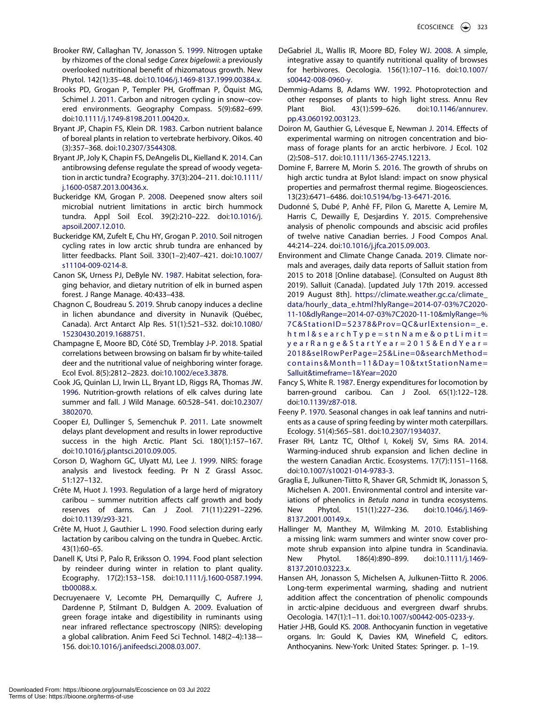- <span id="page-11-23"></span>Brooker RW, Callaghan TV, Jonasson S. [1999.](#page-8-3) Nitrogen uptake by rhizomes of the clonal sedge *Carex bigelowii*: a previously overlooked nutritional benefit of rhizomatous growth. New Phytol. 142(1):35–48. doi:[10.1046/j.1469-8137.1999.00384.x.](https://doi.org/10.1046/j.1469-8137.1999.00384.x)
- <span id="page-11-8"></span>Brooks PD, Grogan P, Templer PH, Groffman P, Öquist MG, Schimel J. [2011.](#page-2-6) Carbon and nitrogen cycling in snow–covered environments. Geography Compass. 5(9):682–699. doi:[10.1111/j.1749-8198.2011.00420.x.](https://doi.org/10.1111/j.1749-8198.2011.00420.x)
- <span id="page-11-4"></span>Bryant JP, Chapin FS, Klein DR. [1983](#page-2-7). Carbon nutrient balance of boreal plants in relation to vertebrate herbivory. Oikos. 40 (3):357–368. doi:[10.2307/3544308](https://doi.org/10.2307/3544308).
- <span id="page-11-26"></span>Bryant JP, Joly K, Chapin FS, DeAngelis DL, Kielland K. [2014](#page-10-12). Can antibrowsing defense regulate the spread of woody vegetation in arctic tundra? Ecography. 37(3):204–211. doi:[10.1111/](https://doi.org/10.1111/j.1600-0587.2013.00436.x)  [j.1600-0587.2013.00436.x](https://doi.org/10.1111/j.1600-0587.2013.00436.x).
- <span id="page-11-7"></span>Buckeridge KM, Grogan P. [2008](#page-2-8). Deepened snow alters soil microbial nutrient limitations in arctic birch hummock tundra. Appl Soil Ecol. 39(2):210–222. doi:[10.1016/j.](https://doi.org/10.1016/j.apsoil.2007.12.010)  [apsoil.2007.12.010](https://doi.org/10.1016/j.apsoil.2007.12.010).
- <span id="page-11-25"></span>Buckeridge KM, Zufelt E, Chu HY, Grogan P. [2010](#page-10-13). Soil nitrogen cycling rates in low arctic shrub tundra are enhanced by litter feedbacks. Plant Soil. 330(1–2):407–421. doi:[10.1007/](https://doi.org/10.1007/s11104-009-0214-8)  [s11104-009-0214-8.](https://doi.org/10.1007/s11104-009-0214-8)
- <span id="page-11-6"></span>Canon SK, Urness PJ, DeByle NV. [1987.](#page-2-9) Habitat selection, foraging behavior, and dietary nutrition of elk in burned aspen forest. J Range Manage. 40:433–438.
- <span id="page-11-27"></span>Chagnon C, Boudreau S. [2019.](#page-10-14) Shrub canopy induces a decline in lichen abundance and diversity in Nunavik (Québec, Canada). Arct Antarct Alp Res. 51(1):521–532. doi:[10.1080/](https://doi.org/10.1080/15230430.2019.1688751)  [15230430.2019.1688751](https://doi.org/10.1080/15230430.2019.1688751).
- <span id="page-11-16"></span>Champagne E, Moore BD, Côté SD, Tremblay J-P. [2018.](#page-4-0) Spatial correlations between browsing on balsam fir by white-tailed deer and the nutritional value of neighboring winter forage. Ecol Evol. 8(5):2812–2823. doi:[10.1002/ece3.3878.](https://doi.org/10.1002/ece3.3878)
- <span id="page-11-3"></span>Cook JG, Quinlan LJ, Irwin LL, Bryant LD, Riggs RA, Thomas JW. [1996](#page-2-1). Nutrition-growth relations of elk calves during late summer and fall. J Wild Manage. 60:528–541. doi:[10.2307/](https://doi.org/10.2307/3802070)  [3802070](https://doi.org/10.2307/3802070).
- <span id="page-11-15"></span>Cooper EJ, Dullinger S, Semenchuk P. [2011](#page-4-1). Late snowmelt delays plant development and results in lower reproductive success in the high Arctic. Plant Sci. 180(1):157–167. doi:[10.1016/j.plantsci.2010.09.005](https://doi.org/10.1016/j.plantsci.2010.09.005).
- <span id="page-11-17"></span>Corson D, Waghorn GC, Ulyatt MJ, Lee J. [1999](#page-4-2). NIRS: forage analysis and livestock feeding. Pr N Z Grassl Assoc. 51:127–132.
- <span id="page-11-12"></span>Crête M, Huot J. [1993](#page-2-10). Regulation of a large herd of migratory caribou – summer nutrition affects calf growth and body reserves of darns. Can J Zool. 71(11):2291–2296. doi:[10.1139/z93-321](https://doi.org/10.1139/z93-321).
- <span id="page-11-13"></span>Crête M, Huot J, Gauthier L. [1990.](#page-2-11) Food selection during early lactation by caribou calving on the tundra in Quebec. Arctic. 43(1):60–65.
- <span id="page-11-5"></span>Danell K, Utsi P, Palo R, Eriksson O. [1994](#page-2-12). Food plant selection by reindeer during winter in relation to plant quality. Ecography. 17(2):153–158. doi:[10.1111/j.1600-0587.1994.](https://doi.org/10.1111/j.1600-0587.1994.tb00088.x)  [tb00088.x](https://doi.org/10.1111/j.1600-0587.1994.tb00088.x).
- <span id="page-11-18"></span>Decruyenaere V, Lecomte PH, Demarquilly C, Aufrere J, Dardenne P, Stilmant D, Buldgen A. [2009.](#page-4-3) Evaluation of green forage intake and digestibility in ruminants using near infrared reflectance spectroscopy (NIRS): developing a global calibration. Anim Feed Sci Technol. 148(2–4):138–- 156. doi:[10.1016/j.anifeedsci.2008.03.007.](https://doi.org/10.1016/j.anifeedsci.2008.03.007)
- <span id="page-11-20"></span>DeGabriel JL, Wallis IR, Moore BD, Foley WJ. [2008](#page-5-1). A simple, integrative assay to quantify nutritional quality of browses for herbivores. Oecologia. 156(1):107–116. doi:[10.1007/](https://doi.org/10.1007/s00442-008-0960-y) [s00442-008-0960-y](https://doi.org/10.1007/s00442-008-0960-y).
- <span id="page-11-21"></span>Demmig-Adams B, Adams WW. [1992.](#page-8-4) Photoprotection and other responses of plants to high light stress. Annu Rev Plant Biol. 43(1):599–626. doi:[10.1146/annurev.](https://doi.org/10.1146/annurev.pp.43.060192.003123) [pp.43.060192.003123](https://doi.org/10.1146/annurev.pp.43.060192.003123).
- <span id="page-11-11"></span>Doiron M, Gauthier G, Lévesque E, Newman J. [2014.](#page-2-13) Effects of experimental warming on nitrogen concentration and biomass of forage plants for an arctic herbivore. J Ecol. 102 (2):508–517. doi:[10.1111/1365-2745.12213](https://doi.org/10.1111/1365-2745.12213).
- <span id="page-11-2"></span>Domine F, Barrere M, Morin S. [2016.](#page-2-14) The growth of shrubs on high arctic tundra at Bylot Island: impact on snow physical properties and permafrost thermal regime. Biogeosciences. 13(23):6471–6486. doi:[10.5194/bg-13-6471-2016](https://doi.org/10.5194/bg-13-6471-2016).
- <span id="page-11-19"></span>Dudonné S, Dubé P, Anhê FF, Pilon G, Marette A, Lemire M, Harris C, Dewailly E, Desjardins Y. [2015.](#page-4-4) Comprehensive analysis of phenolic compounds and abscisic acid profiles of twelve native Canadian berries. J Food Compos Anal. 44:214–224. doi:[10.1016/j.jfca.2015.09.003](https://doi.org/10.1016/j.jfca.2015.09.003).
- <span id="page-11-14"></span>Environment and Climate Change Canada. [2019.](#page-3-3) Climate normals and averages, daily data reports of Salluit station from 2015 to 2018 [Online database]. (Consulted on August 8th 2019). Salluit (Canada). [updated July 17th 2019. accessed 2019 August 8th]. [https://climate.weather.gc.ca/climate\\_](https://climate.weather.gc.ca/climate_data/hourly_data_e.html?hlyRange=2014-07-03%7C2020-11-10%26dlyRange=2014-07-03%7C2020-11-10%26mlyRange=%7C%26StationID=52378%26Prov=QC%26urlExtension=_e.html%26searchType=stnName%26optLimit=yearRange%26StartYear=2015%26EndYear=2018%26selRowPerPage=25%26Line=0%26searchMethod=contains%26Month=11%26Day=10%26txtStationName=Salluit%26timeframe=1%26Year=2020)  [data/hourly\\_data\\_e.html?hlyRange=2014-07-03%7C2020-](https://climate.weather.gc.ca/climate_data/hourly_data_e.html?hlyRange=2014-07-03%7C2020-11-10%26dlyRange=2014-07-03%7C2020-11-10%26mlyRange=%7C%26StationID=52378%26Prov=QC%26urlExtension=_e.html%26searchType=stnName%26optLimit=yearRange%26StartYear=2015%26EndYear=2018%26selRowPerPage=25%26Line=0%26searchMethod=contains%26Month=11%26Day=10%26txtStationName=Salluit%26timeframe=1%26Year=2020)  [11-10&dlyRange=2014-07-03%7C2020-11-10&mlyRange=%](https://climate.weather.gc.ca/climate_data/hourly_data_e.html?hlyRange=2014-07-03%7C2020-11-10%26dlyRange=2014-07-03%7C2020-11-10%26mlyRange=%7C%26StationID=52378%26Prov=QC%26urlExtension=_e.html%26searchType=stnName%26optLimit=yearRange%26StartYear=2015%26EndYear=2018%26selRowPerPage=25%26Line=0%26searchMethod=contains%26Month=11%26Day=10%26txtStationName=Salluit%26timeframe=1%26Year=2020) [7C&StationID=52378&Prov=QC&urlExtension=\\_e.](https://climate.weather.gc.ca/climate_data/hourly_data_e.html?hlyRange=2014-07-03%7C2020-11-10%26dlyRange=2014-07-03%7C2020-11-10%26mlyRange=%7C%26StationID=52378%26Prov=QC%26urlExtension=_e.html%26searchType=stnName%26optLimit=yearRange%26StartYear=2015%26EndYear=2018%26selRowPerPage=25%26Line=0%26searchMethod=contains%26Month=11%26Day=10%26txtStationName=Salluit%26timeframe=1%26Year=2020) [html&searchType=stnName&optLimit=](https://climate.weather.gc.ca/climate_data/hourly_data_e.html?hlyRange=2014-07-03%7C2020-11-10%26dlyRange=2014-07-03%7C2020-11-10%26mlyRange=%7C%26StationID=52378%26Prov=QC%26urlExtension=_e.html%26searchType=stnName%26optLimit=yearRange%26StartYear=2015%26EndYear=2018%26selRowPerPage=25%26Line=0%26searchMethod=contains%26Month=11%26Day=10%26txtStationName=Salluit%26timeframe=1%26Year=2020)  [yearRange&StartYear=2015&EndYear=](https://climate.weather.gc.ca/climate_data/hourly_data_e.html?hlyRange=2014-07-03%7C2020-11-10%26dlyRange=2014-07-03%7C2020-11-10%26mlyRange=%7C%26StationID=52378%26Prov=QC%26urlExtension=_e.html%26searchType=stnName%26optLimit=yearRange%26StartYear=2015%26EndYear=2018%26selRowPerPage=25%26Line=0%26searchMethod=contains%26Month=11%26Day=10%26txtStationName=Salluit%26timeframe=1%26Year=2020)  [2018&selRowPerPage=25&Line=0&searchMethod=](https://climate.weather.gc.ca/climate_data/hourly_data_e.html?hlyRange=2014-07-03%7C2020-11-10%26dlyRange=2014-07-03%7C2020-11-10%26mlyRange=%7C%26StationID=52378%26Prov=QC%26urlExtension=_e.html%26searchType=stnName%26optLimit=yearRange%26StartYear=2015%26EndYear=2018%26selRowPerPage=25%26Line=0%26searchMethod=contains%26Month=11%26Day=10%26txtStationName=Salluit%26timeframe=1%26Year=2020) [contains&Month=11&Day=10&txtStationName=](https://climate.weather.gc.ca/climate_data/hourly_data_e.html?hlyRange=2014-07-03%7C2020-11-10%26dlyRange=2014-07-03%7C2020-11-10%26mlyRange=%7C%26StationID=52378%26Prov=QC%26urlExtension=_e.html%26searchType=stnName%26optLimit=yearRange%26StartYear=2015%26EndYear=2018%26selRowPerPage=25%26Line=0%26searchMethod=contains%26Month=11%26Day=10%26txtStationName=Salluit%26timeframe=1%26Year=2020)  [Salluit&timeframe=1&Year=2020](https://climate.weather.gc.ca/climate_data/hourly_data_e.html?hlyRange=2014-07-03%7C2020-11-10%26dlyRange=2014-07-03%7C2020-11-10%26mlyRange=%7C%26StationID=52378%26Prov=QC%26urlExtension=_e.html%26searchType=stnName%26optLimit=yearRange%26StartYear=2015%26EndYear=2018%26selRowPerPage=25%26Line=0%26searchMethod=contains%26Month=11%26Day=10%26txtStationName=Salluit%26timeframe=1%26Year=2020)
- <span id="page-11-28"></span>Fancy S, White R. [1987.](#page-10-15) Energy expenditures for locomotion by barren-ground caribou. Can J Zool. 65(1):122–128. doi:[10.1139/z87-018](https://doi.org/10.1139/z87-018).
- <span id="page-11-24"></span>Feeny P. [1970](#page-9-2). Seasonal changes in oak leaf tannins and nutrients as a cause of spring feeding by winter moth caterpillars. Ecology. 51(4):565–581. doi:[10.2307/1934037](https://doi.org/10.2307/1934037).
- <span id="page-11-1"></span>Fraser RH, Lantz TC, Olthof I, Kokelj SV, Sims RA. [2014.](#page-1-1) Warming-induced shrub expansion and lichen decline in the western Canadian Arctic. Ecosystems. 17(7):1151–1168. doi:[10.1007/s10021-014-9783-3](https://doi.org/10.1007/s10021-014-9783-3).
- <span id="page-11-9"></span>Graglia E, Julkunen-Tiitto R, Shaver GR, Schmidt IK, Jonasson S, Michelsen A. [2001.](#page-2-15) Environmental control and intersite variations of phenolics in *Betula nana* in tundra ecosystems. New Phytol. 151(1):227–236. doi:[10.1046/j.1469-](https://doi.org/10.1046/j.1469-8137.2001.00149.x) [8137.2001.00149.x.](https://doi.org/10.1046/j.1469-8137.2001.00149.x)
- <span id="page-11-0"></span>Hallinger M, Manthey M, Wilmking M. [2010.](#page-1-1) Establishing a missing link: warm summers and winter snow cover promote shrub expansion into alpine tundra in Scandinavia. New Phytol. 186(4):890–899. doi:[10.1111/j.1469-](https://doi.org/10.1111/j.1469-8137.2010.03223.x) [8137.2010.03223.x.](https://doi.org/10.1111/j.1469-8137.2010.03223.x)
- <span id="page-11-10"></span>Hansen AH, Jonasson S, Michelsen A, Julkunen-Tiitto R. [2006.](#page-2-16) Long-term experimental warming, shading and nutrient addition affect the concentration of phenolic compounds in arctic-alpine deciduous and evergreen dwarf shrubs. Oecologia. 147(1):1–11. doi:[10.1007/s00442-005-0233-y.](https://doi.org/10.1007/s00442-005-0233-y)
- <span id="page-11-22"></span>Hatier J-HB, Gould KS. [2008](#page-8-5). Anthocyanin function in vegetative organs. In: Gould K, Davies KM, Winefield C, editors. Anthocyanins. New-York: United States: Springer. p. 1–19.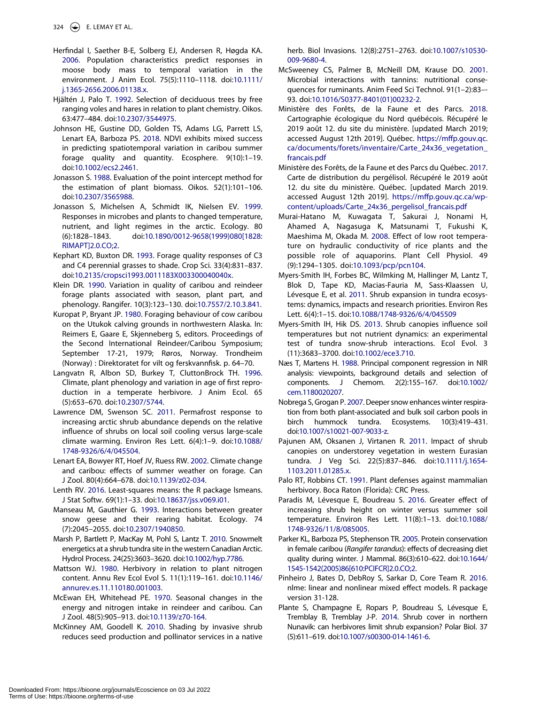- <span id="page-12-6"></span>Herfindal I, Saether B-E, Solberg EJ, Andersen R, Høgda KA. [2006](#page-2-17). Population characteristics predict responses in moose body mass to temporal variation in the environment. J Anim Ecol. 75(5):1110–1118. doi:[10.1111/](https://doi.org/10.1111/j.1365-2656.2006.01138.x)  [j.1365-2656.2006.01138.x](https://doi.org/10.1111/j.1365-2656.2006.01138.x).
- <span id="page-12-9"></span>Hjältén J, Palo T. [1992.](#page-2-18) Selection of deciduous trees by free ranging voles and hares in relation to plant chemistry. Oikos. 63:477–484. doi:[10.2307/3544975.](https://doi.org/10.2307/3544975)
- <span id="page-12-17"></span>Johnson HE, Gustine DD, Golden TS, Adams LG, Parrett LS, Lenart EA, Barboza PS. [2018.](#page-2-19) NDVI exhibits mixed success in predicting spatiotemporal variation in caribou summer forage quality and quantity. Ecosphere. 9(10):1–19. doi:[10.1002/ecs2.2461.](https://doi.org/10.1002/ecs2.2461)
- <span id="page-12-25"></span>Jonasson S. [1988.](#page-5-2) Evaluation of the point intercept method for the estimation of plant biomass. Oikos. 52(1):101–106. doi:[10.2307/3565988.](https://doi.org/10.2307/3565988)
- <span id="page-12-23"></span>Jonasson S, Michelsen A, Schmidt IK, Nielsen EV. [1999.](#page-4-5) Responses in microbes and plants to changed temperature, nutrient, and light regimes in the arctic. Ecology. 80 (6):1828–1843. doi:[10.1890/0012-9658\(1999\)080\[1828:](https://doi.org/10.1890/0012-9658(1999)080[1828:RIMAPT]2.0.CO;2)  [RIMAPT\]2.0.CO;2](https://doi.org/10.1890/0012-9658(1999)080[1828:RIMAPT]2.0.CO;2).
- <span id="page-12-13"></span>Kephart KD, Buxton DR. [1993](#page-2-4). Forage quality responses of C3 and C4 perennial grasses to shade. Crop Sci. 33(4):831–837. doi:[10.2135/cropsci1993.0011183X003300040040x.](https://doi.org/10.2135/cropsci1993.0011183X003300040040x)
- <span id="page-12-19"></span>Klein DR. [1990.](#page-2-7) Variation in quality of caribou and reindeer forage plants associated with season, plant part, and phenology. Rangifer. 10(3):123–130. doi:[10.7557/2.10.3.841](https://doi.org/10.7557/2.10.3.841).
- <span id="page-12-30"></span>Kuropat P, Bryant JP. [1980.](#page-9-3) Foraging behaviour of cow caribou on the Utukok calving grounds in northwestern Alaska. In: Reimers E, Gaare E, Skjenneberg S, editors. Proceedings of the Second International Reindeer/Caribou Symposium; September 17-21, 1979; Røros, Norway. Trondheim (Norway) : Direktoratet for vilt og ferskvannfisk. p. 64–70.
- <span id="page-12-10"></span>Langvatn R, Albon SD, Burkey T, CluttonBrock TH. [1996.](#page-2-9) Climate, plant phenology and variation in age of first reproduction in a temperate herbivore. J Anim Ecol. 65 (5):653–670. doi:[10.2307/5744](https://doi.org/10.2307/5744).
- <span id="page-12-3"></span>Lawrence DM, Swenson SC. [2011.](#page-2-20) Permafrost response to increasing arctic shrub abundance depends on the relative influence of shrubs on local soil cooling versus large-scale climate warming. Environ Res Lett. 6(4):1–9. doi:[10.1088/](https://doi.org/10.1088/1748-9326/6/4/045504)  [1748-9326/6/4/045504.](https://doi.org/10.1088/1748-9326/6/4/045504)
- <span id="page-12-15"></span>Lenart EA, Bowyer RT, Hoef JV, Ruess RW. [2002](#page-2-21). Climate change and caribou: effects of summer weather on forage. Can J Zool. 80(4):664–678. doi:[10.1139/z02-034.](https://doi.org/10.1139/z02-034)
- <span id="page-12-27"></span>Lenth RV. [2016.](#page-5-3) Least-squares means: the R package lsmeans. J Stat Softw. 69(1):1–33. doi:[10.18637/jss.v069.i01](https://doi.org/10.18637/jss.v069.i01).
- <span id="page-12-18"></span>Manseau M, Gauthier G. [1993](#page-2-13). Interactions between greater snow geese and their rearing habitat. Ecology. 74 (7):2045–2055. doi:[10.2307/1940850](https://doi.org/10.2307/1940850).
- <span id="page-12-2"></span>Marsh P, Bartlett P, MacKay M, Pohl S, Lantz T. [2010](#page-2-5). Snowmelt energetics at a shrub tundra site in the western Canadian Arctic. Hydrol Process. 24(25):3603–3620. doi:[10.1002/hyp.7786](https://doi.org/10.1002/hyp.7786).
- <span id="page-12-29"></span>Mattson WJ. [1980.](#page-9-2) Herbivory in relation to plant nitrogen content. Annu Rev Ecol Evol S. 11(1):119–161. doi:[10.1146/](https://doi.org/10.1146/annurev.es.11.110180.001003)  [annurev.es.11.110180.001003](https://doi.org/10.1146/annurev.es.11.110180.001003).
- <span id="page-12-28"></span>McEwan EH, Whitehead PE. [1970](#page-8-6). Seasonal changes in the energy and nitrogen intake in reindeer and caribou. Can J Zool. 48(5):905–913. doi:[10.1139/z70-164.](https://doi.org/10.1139/z70-164)
- <span id="page-12-0"></span>McKinney AM, Goodell K. [2010](#page-2-22). Shading by invasive shrub reduces seed production and pollinator services in a native

herb. Biol Invasions. 12(8):2751–2763. doi:[10.1007/s10530-](https://doi.org/10.1007/s10530-009-9680-4) [009-9680-4](https://doi.org/10.1007/s10530-009-9680-4).

- <span id="page-12-8"></span>McSweeney CS, Palmer B, McNeill DM, Krause DO. [2001.](#page-2-23) Microbial interactions with tannins: nutritional consequences for ruminants. Anim Feed Sci Technol. 91(1–2):83–- 93. doi:[10.1016/S0377-8401\(01\)00232-2.](https://doi.org/10.1016/S0377-8401(01)00232-2)
- <span id="page-12-20"></span>Ministère des Forêts, de la Faune et des Parcs. [2018.](#page-3-4) Cartographie écologique du Nord québécois. Récupéré le 2019 août 12. du site du ministère. [updated March 2019; accessed August 12th 2019]. Québec. [https://mffp.gouv.qc.](https://mffp.gouv.qc.ca/documents/forets/inventaire/Carte_24x36_vegetation_francais.pdf) [ca/documents/forets/inventaire/Carte\\_24x36\\_vegetation\\_](https://mffp.gouv.qc.ca/documents/forets/inventaire/Carte_24x36_vegetation_francais.pdf)  [francais.pdf](https://mffp.gouv.qc.ca/documents/forets/inventaire/Carte_24x36_vegetation_francais.pdf)
- <span id="page-12-21"></span>Ministère des Forêts, de la Faune et des Parcs du Québec. [2017.](#page-3-5) Carte de distribution du pergélisol. Récupéré le 2019 août 12. du site du ministère. Québec. [updated March 2019. accessed August 12th 2019]. [https://mffp.gouv.qc.ca/wp](https://mffp.gouv.qc.ca/wp-content/uploads/Carte_24x36_pergelisol_francais.pdf)[content/uploads/Carte\\_24x36\\_pergelisol\\_francais.pdf](https://mffp.gouv.qc.ca/wp-content/uploads/Carte_24x36_pergelisol_francais.pdf)
- <span id="page-12-14"></span>Murai-Hatano M, Kuwagata T, Sakurai J, Nonami H, Ahamed A, Nagasuga K, Matsunami T, Fukushi K, Maeshima M, Okada M. [2008](#page-2-24). Effect of low root temperature on hydraulic conductivity of rice plants and the possible role of aquaporins. Plant Cell Physiol. 49 (9):1294–1305. doi:[10.1093/pcp/pcn104](https://doi.org/10.1093/pcp/pcn104).
- <span id="page-12-1"></span>Myers-Smith IH, Forbes BC, Wilmking M, Hallinger M, Lantz T, Blok D, Tape KD, Macias-Fauria M, Sass-Klaassen U, Lévesque E, et al. [2011.](#page-2-22) Shrub expansion in tundra ecosystems: dynamics, impacts and research priorities. Environ Res Lett. 6(4):1–15. doi:[10.1088/1748-9326/6/4/045509](https://doi.org/10.1088/1748-9326/6/4/045509)
- <span id="page-12-4"></span>Myers-Smith IH, Hik DS. [2013.](#page-2-25) Shrub canopies influence soil temperatures but not nutrient dynamics: an experimental test of tundra snow-shrub interactions. Ecol Evol. 3 (11):3683–3700. doi:[10.1002/ece3.710.](https://doi.org/10.1002/ece3.710)
- <span id="page-12-24"></span>Næs T, Martens H. [1988](#page-4-6). Principal component regression in NIR analysis: viewpoints, background details and selection of components. J Chemom. 2(2):155–167. doi:[10.1002/](https://doi.org/10.1002/cem.1180020207) [cem.1180020207](https://doi.org/10.1002/cem.1180020207).
- <span id="page-12-12"></span>Nobrega S, Grogan P. [2007.](#page-2-8) Deeper snow enhances winter respiration from both plant-associated and bulk soil carbon pools in birch hummock tundra. Ecosystems. 10(3):419–431. doi:[10.1007/s10021-007-9033-z](https://doi.org/10.1007/s10021-007-9033-z).
- <span id="page-12-16"></span>Pajunen AM, Oksanen J, Virtanen R. [2011.](#page-2-21) Impact of shrub canopies on understorey vegetation in western Eurasian tundra. J Veg Sci. 22(5):837–846. doi:[10.1111/j.1654-](https://doi.org/10.1111/j.1654-1103.2011.01285.x) [1103.2011.01285.x.](https://doi.org/10.1111/j.1654-1103.2011.01285.x)
- <span id="page-12-7"></span>Palo RT, Robbins CT. [1991](#page-2-23). Plant defenses against mammalian herbivory. Boca Raton (Florida): CRC Press.
- <span id="page-12-11"></span>Paradis M, Lévesque E, Boudreau S. [2016](#page-2-26). Greater effect of increasing shrub height on winter versus summer soil temperature. Environ Res Lett. 11(8):1–13. doi:[10.1088/](https://doi.org/10.1088/1748-9326/11/8/085005) [1748-9326/11/8/085005](https://doi.org/10.1088/1748-9326/11/8/085005).
- <span id="page-12-5"></span>Parker KL, Barboza PS, Stephenson TR. [2005.](#page-2-27) Protein conservation in female caribou (*Rangifer tarandus*): effects of decreasing diet quality during winter. J Mammal. 86(3):610–622. doi:[10.1644/](https://doi.org/10.1644/1545-1542(2005)86[610:PCIFCR]2.0.CO;2) [1545-1542\(2005\)86\[610:PCIFCR\]2.0.CO;2.](https://doi.org/10.1644/1545-1542(2005)86[610:PCIFCR]2.0.CO;2)
- <span id="page-12-26"></span>Pinheiro J, Bates D, DebRoy S, Sarkar D, Core Team R. [2016.](#page-5-4) nlme: linear and nonlinear mixed effect models. R package version 31-128.
- <span id="page-12-22"></span>Plante S, Champagne E, Ropars P, Boudreau S, Lévesque E, Tremblay B, Tremblay J-P. [2014.](#page-3-6) Shrub cover in northern Nunavik: can herbivores limit shrub expansion? Polar Biol. 37 (5):611–619. doi:[10.1007/s00300-014-1461-6.](https://doi.org/10.1007/s00300-014-1461-6)